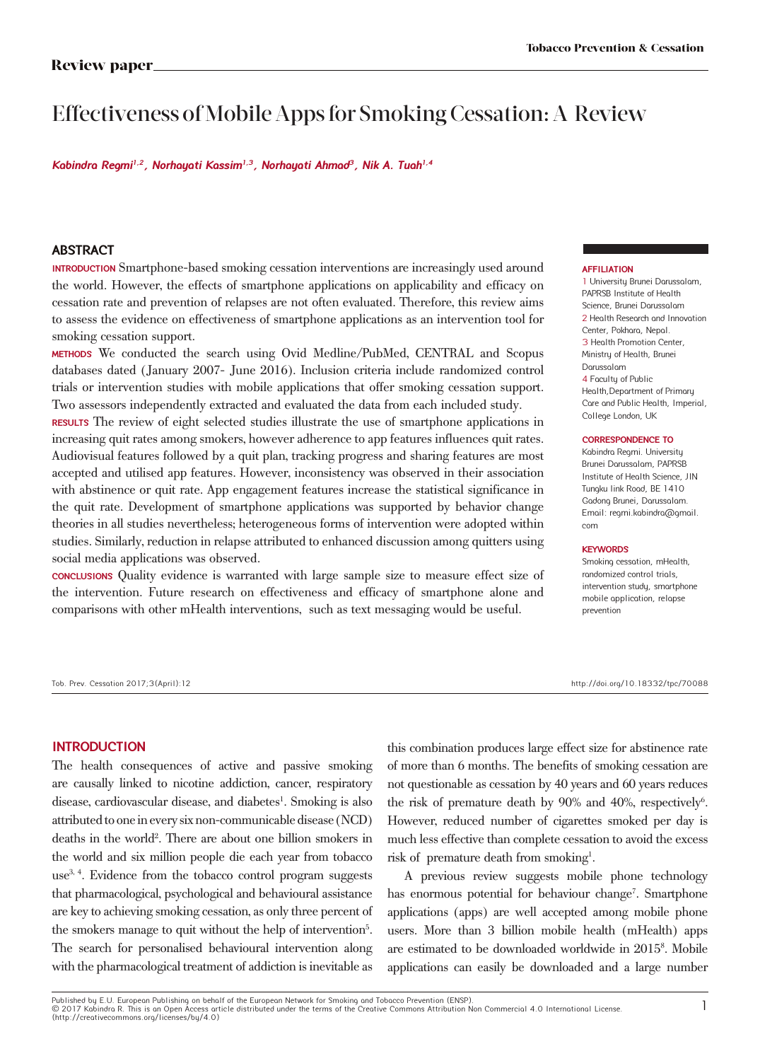# Effectiveness of Mobile Apps for Smoking Cessation: A Review

**Kabindra Regmi1,2, Norhayati Kassim1,3, Norhayati Ahmad<sup>3</sup>, Nik A. Tuah1,4**

### **ABSTRACT**

**INTRODUCTION** Smartphone-based smoking cessation interventions are increasingly used around the world. However, the effects of smartphone applications on applicability and efficacy on cessation rate and prevention of relapses are not often evaluated. Therefore, this review aims to assess the evidence on effectiveness of smartphone applications as an intervention tool for smoking cessation support.

**METHODS** We conducted the search using Ovid Medline/PubMed, CENTRAL and Scopus databases dated (January 2007- June 2016). Inclusion criteria include randomized control trials or intervention studies with mobile applications that offer smoking cessation support. Two assessors independently extracted and evaluated the data from each included study.

**RESULTS** The review of eight selected studies illustrate the use of smartphone applications in increasing quit rates among smokers, however adherence to app features influences quit rates. Audiovisual features followed by a quit plan, tracking progress and sharing features are most accepted and utilised app features. However, inconsistency was observed in their association with abstinence or quit rate. App engagement features increase the statistical significance in the quit rate. Development of smartphone applications was supported by behavior change theories in all studies nevertheless; heterogeneous forms of intervention were adopted within studies. Similarly, reduction in relapse attributed to enhanced discussion among quitters using social media applications was observed.

**CONCLUSIONS** Quality evidence is warranted with large sample size to measure effect size of the intervention. Future research on effectiveness and efficacy of smartphone alone and comparisons with other mHealth interventions, such as text messaging would be useful.

#### Tob. Prev. Cessation 2017;3(April):12 http://doi.org/10.18332/tpc/70088

### **AFFILIATION**

1 University Brunei Darussalam, PAPRSB Institute of Health Science, Brunei Darussalam 2 Health Research and Innovation Center, Pokhara, Nepal. 3 Health Promotion Center, Ministry of Health, Brunei Darussalam 4 Faculty of Public Health,Department of Primary Care and Public Health, Imperial, College London, UK

### **CORRESPONDENCE TO**

Kabindra Regmi. University Brunei Darussalam, PAPRSB Institute of Health Science, JlN Tungku link Road, BE 1410 Gadong Brunei, Darussalam. Email: regmi.kabindra@gmail. com

### **KEYWORDS**

Smoking cessation, mHealth, randomized control trials, intervention study, smartphone mobile application, relapse prevention

### **INTRODUCTION**

The health consequences of active and passive smoking are causally linked to nicotine addiction, cancer, respiratory disease, cardiovascular disease, and diabetes<sup>1</sup>. Smoking is also attributed to one in every six non-communicable disease (NCD) deaths in the world<sup>2</sup>. There are about one billion smokers in the world and six million people die each year from tobacco use3, 4. Evidence from the tobacco control program suggests that pharmacological, psychological and behavioural assistance are key to achieving smoking cessation, as only three percent of the smokers manage to quit without the help of intervention<sup>5</sup>. The search for personalised behavioural intervention along with the pharmacological treatment of addiction is inevitable as

this combination produces large effect size for abstinence rate of more than 6 months. The benefits of smoking cessation are not questionable as cessation by 40 years and 60 years reduces the risk of premature death by 90% and 40%, respectively<sup>6</sup>. However, reduced number of cigarettes smoked per day is much less effective than complete cessation to avoid the excess risk of premature death from smoking<sup>1</sup>.

A previous review suggests mobile phone technology has enormous potential for behaviour change<sup>7</sup>. Smartphone applications (apps) are well accepted among mobile phone users. More than 3 billion mobile health (mHealth) apps are estimated to be downloaded worldwide in 20158 . Mobile applications can easily be downloaded and a large number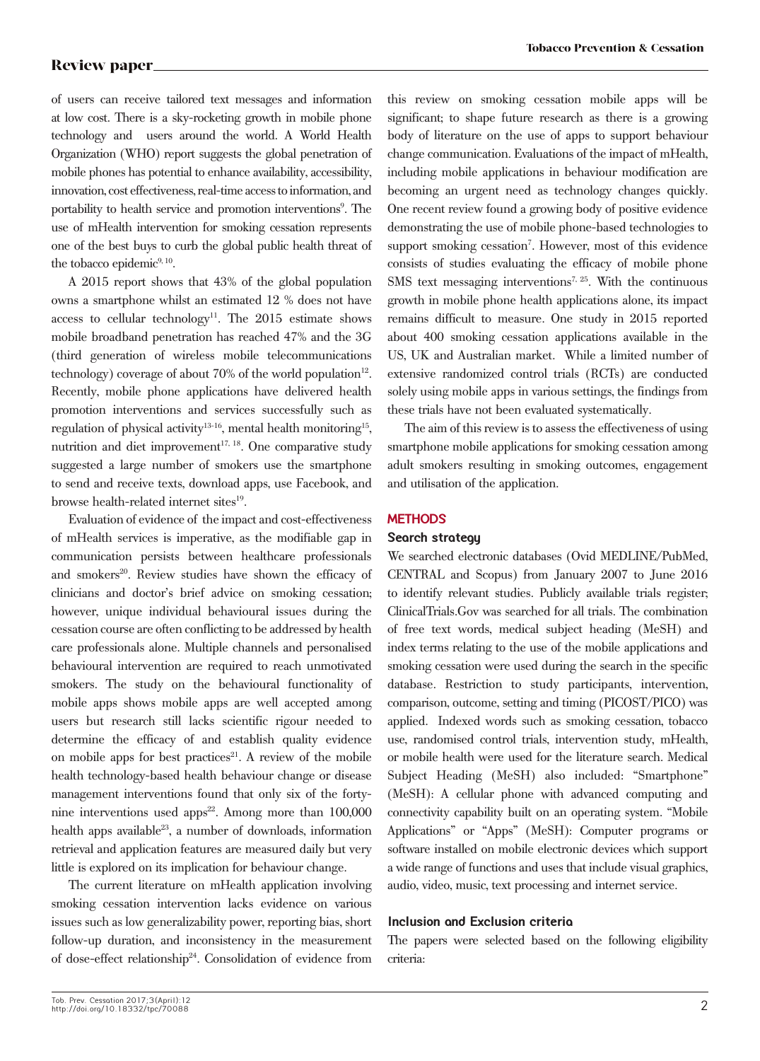of users can receive tailored text messages and information at low cost. There is a sky-rocketing growth in mobile phone technology and users around the world. A World Health Organization (WHO) report suggests the global penetration of mobile phones has potential to enhance availability, accessibility, innovation, cost effectiveness, real-time access to information, and portability to health service and promotion interventions<sup>9</sup>. The use of mHealth intervention for smoking cessation represents one of the best buys to curb the global public health threat of the tobacco epidemic<sup>9, 10</sup>.

A 2015 report shows that 43% of the global population owns a smartphone whilst an estimated 12 % does not have access to cellular technology<sup>11</sup>. The  $2015$  estimate shows mobile broadband penetration has reached 47% and the 3G (third generation of wireless mobile telecommunications technology) coverage of about  $70\%$  of the world population<sup>12</sup>. Recently, mobile phone applications have delivered health promotion interventions and services successfully such as regulation of physical activity<sup>13-16</sup>, mental health monitoring<sup>15</sup>, nutrition and diet improvement<sup>17, 18</sup>. One comparative study suggested a large number of smokers use the smartphone to send and receive texts, download apps, use Facebook, and browse health-related internet sites<sup>19</sup>.

Evaluation of evidence of the impact and cost-effectiveness of mHealth services is imperative, as the modifiable gap in communication persists between healthcare professionals and smokers<sup>20</sup>. Review studies have shown the efficacy of clinicians and doctor's brief advice on smoking cessation; however, unique individual behavioural issues during the cessation course are often conflicting to be addressed by health care professionals alone. Multiple channels and personalised behavioural intervention are required to reach unmotivated smokers. The study on the behavioural functionality of mobile apps shows mobile apps are well accepted among users but research still lacks scientific rigour needed to determine the efficacy of and establish quality evidence on mobile apps for best practices<sup>21</sup>. A review of the mobile health technology-based health behaviour change or disease management interventions found that only six of the fortynine interventions used apps<sup>22</sup>. Among more than  $100,000$ health apps available<sup>23</sup>, a number of downloads, information retrieval and application features are measured daily but very little is explored on its implication for behaviour change.

The current literature on mHealth application involving smoking cessation intervention lacks evidence on various issues such as low generalizability power, reporting bias, short follow-up duration, and inconsistency in the measurement of dose-effect relationship24. Consolidation of evidence from this review on smoking cessation mobile apps will be significant; to shape future research as there is a growing body of literature on the use of apps to support behaviour change communication. Evaluations of the impact of mHealth, including mobile applications in behaviour modification are becoming an urgent need as technology changes quickly. One recent review found a growing body of positive evidence demonstrating the use of mobile phone-based technologies to support smoking cessation<sup>7</sup>. However, most of this evidence consists of studies evaluating the efficacy of mobile phone SMS text messaging interventions<sup>7, 25</sup>. With the continuous growth in mobile phone health applications alone, its impact remains difficult to measure. One study in 2015 reported about 400 smoking cessation applications available in the US, UK and Australian market. While a limited number of extensive randomized control trials (RCTs) are conducted solely using mobile apps in various settings, the findings from these trials have not been evaluated systematically.

The aim of this review is to assess the effectiveness of using smartphone mobile applications for smoking cessation among adult smokers resulting in smoking outcomes, engagement and utilisation of the application.

### **METHODS**

### **Search strategy**

We searched electronic databases (Ovid MEDLINE/PubMed, CENTRAL and Scopus) from January 2007 to June 2016 to identify relevant studies. Publicly available trials register; ClinicalTrials.Gov was searched for all trials. The combination of free text words, medical subject heading (MeSH) and index terms relating to the use of the mobile applications and smoking cessation were used during the search in the specific database. Restriction to study participants, intervention, comparison, outcome, setting and timing (PICOST/PICO) was applied. Indexed words such as smoking cessation, tobacco use, randomised control trials, intervention study, mHealth, or mobile health were used for the literature search. Medical Subject Heading (MeSH) also included: "Smartphone" (MeSH): A cellular phone with advanced computing and connectivity capability built on an operating system. "Mobile Applications" or "Apps" (MeSH): Computer programs or software installed on mobile electronic devices which support a wide range of functions and uses that include visual graphics, audio, video, music, text processing and internet service.

### **Inclusion and Exclusion criteria**

The papers were selected based on the following eligibility criteria: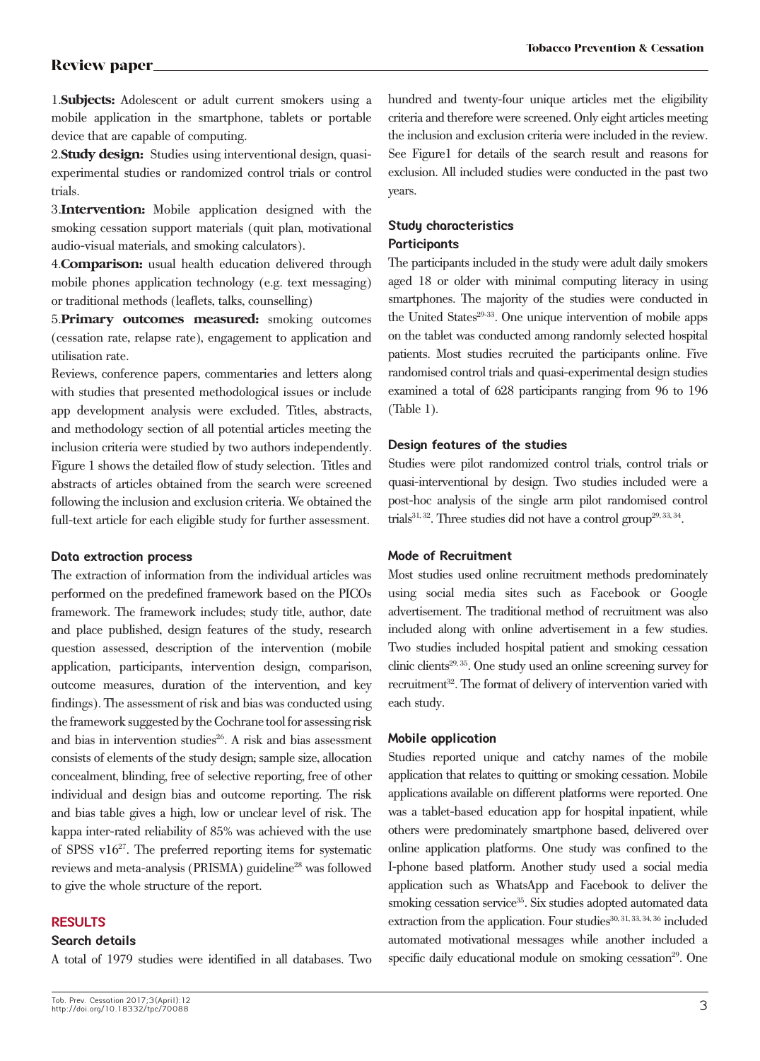1.**Subjects:** Adolescent or adult current smokers using a mobile application in the smartphone, tablets or portable device that are capable of computing.

2.**Study design:** Studies using interventional design, quasiexperimental studies or randomized control trials or control trials.

3.**Intervention:** Mobile application designed with the smoking cessation support materials (quit plan, motivational audio-visual materials, and smoking calculators).

4.**Comparison:** usual health education delivered through mobile phones application technology (e.g. text messaging) or traditional methods (leaflets, talks, counselling)

5.**Primary outcomes measured:** smoking outcomes (cessation rate, relapse rate), engagement to application and utilisation rate.

Reviews, conference papers, commentaries and letters along with studies that presented methodological issues or include app development analysis were excluded. Titles, abstracts, and methodology section of all potential articles meeting the inclusion criteria were studied by two authors independently. Figure 1 shows the detailed flow of study selection. Titles and abstracts of articles obtained from the search were screened following the inclusion and exclusion criteria. We obtained the full-text article for each eligible study for further assessment.

### **Data extraction process**

The extraction of information from the individual articles was performed on the predefined framework based on the PICOs framework. The framework includes; study title, author, date and place published, design features of the study, research question assessed, description of the intervention (mobile application, participants, intervention design, comparison, outcome measures, duration of the intervention, and key findings). The assessment of risk and bias was conducted using the framework suggested by the Cochrane tool for assessing risk and bias in intervention studies $26$ . A risk and bias assessment consists of elements of the study design; sample size, allocation concealment, blinding, free of selective reporting, free of other individual and design bias and outcome reporting. The risk and bias table gives a high, low or unclear level of risk. The kappa inter-rated reliability of 85% was achieved with the use of SPSS  $v16^{27}$ . The preferred reporting items for systematic reviews and meta-analysis (PRISMA) guideline<sup>28</sup> was followed to give the whole structure of the report.

### **RESULTS**

### **Search details**

A total of 1979 studies were identified in all databases. Two

hundred and twenty-four unique articles met the eligibility criteria and therefore were screened. Only eight articles meeting the inclusion and exclusion criteria were included in the review. See Figure1 for details of the search result and reasons for exclusion. All included studies were conducted in the past two years.

### **Study characteristics Participants**

The participants included in the study were adult daily smokers aged 18 or older with minimal computing literacy in using smartphones. The majority of the studies were conducted in the United States<sup>29-33</sup>. One unique intervention of mobile apps on the tablet was conducted among randomly selected hospital patients. Most studies recruited the participants online. Five randomised control trials and quasi-experimental design studies examined a total of 628 participants ranging from 96 to 196 (Table 1).

### **Design features of the studies**

Studies were pilot randomized control trials, control trials or quasi-interventional by design. Two studies included were a post-hoc analysis of the single arm pilot randomised control trials<sup>31, 32</sup>. Three studies did not have a control group<sup>29, 33, 34</sup>.

### **Mode of Recruitment**

Most studies used online recruitment methods predominately using social media sites such as Facebook or Google advertisement. The traditional method of recruitment was also included along with online advertisement in a few studies. Two studies included hospital patient and smoking cessation clinic clients<sup>29, 35</sup>. One study used an online screening survey for recruitment<sup>32</sup>. The format of delivery of intervention varied with each study.

### **Mobile application**

Studies reported unique and catchy names of the mobile application that relates to quitting or smoking cessation. Mobile applications available on different platforms were reported. One was a tablet-based education app for hospital inpatient, while others were predominately smartphone based, delivered over online application platforms. One study was confined to the I-phone based platform. Another study used a social media application such as WhatsApp and Facebook to deliver the smoking cessation service<sup>35</sup>. Six studies adopted automated data extraction from the application. Four studies<sup>30, 31, 33, 34, 36</sup> included automated motivational messages while another included a specific daily educational module on smoking cessation<sup>29</sup>. One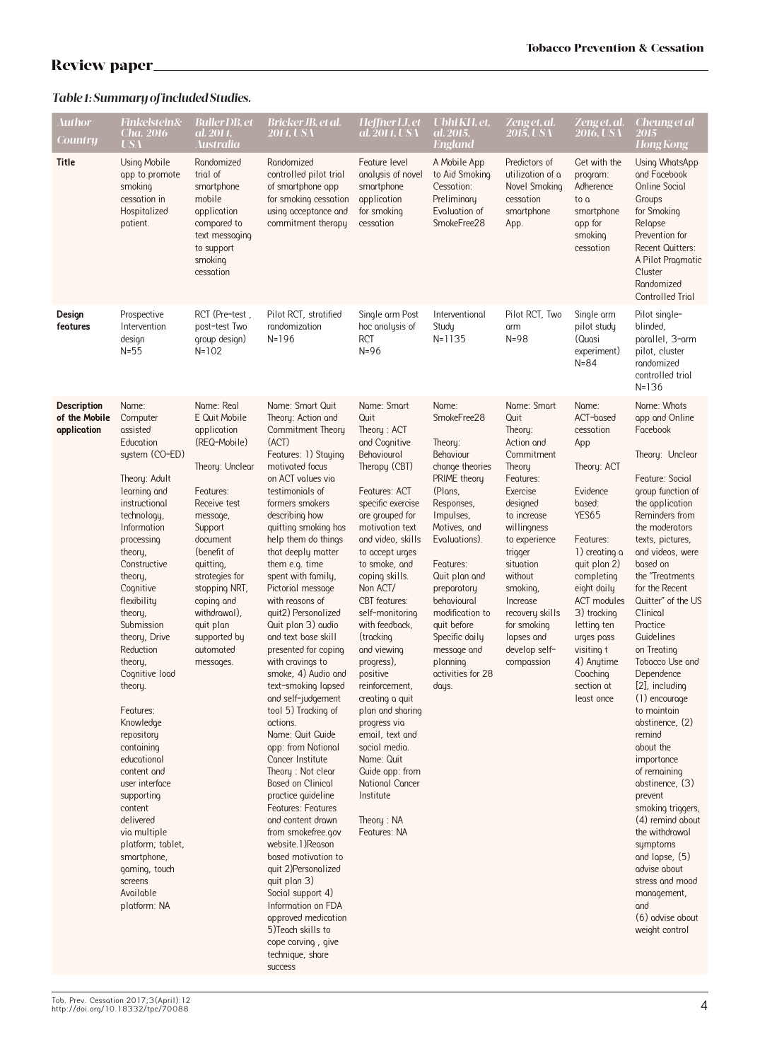# *Table 1: Summary of included Studies.*

| Author<br><b>Country</b>                           | <b>Finkelstein&amp;</b><br>Cha. 2016<br><b>USA</b>                                                                                                                                                                                                                                                                                                                                                                                                                                                                                                                                   | <b>Buller DB</b> , et<br>al. 2014.<br>Australia                                                                                                                                                                                                                                                   | Bricker JB, et al.<br><b>2014. USA</b>                                                                                                                                                                                                                                                                                                                                                                                                                                                                                                                                                                                                                                                                                                                                                                                                                                                                                                                                                                | Heffner LJ, et<br>al. 2014, USA                                                                                                                                                                                                                                                                                                                                                                                                                                                                                                                                                       | Ubhi KH, et,<br>al. 2015,<br><b>England</b>                                                                                                                                                                                                                                                                                            | Zeng et, al.<br>2015, USA                                                                                                                                                                                                                                                                          | Zeng et. al.<br>2016, USA                                                                                                                                                                                                                                                                             | Cheung et al<br>2015<br><b>Hong Kong</b>                                                                                                                                                                                                                                                                                                                                                                                                                                                                                                                                                                                                                                                                          |
|----------------------------------------------------|--------------------------------------------------------------------------------------------------------------------------------------------------------------------------------------------------------------------------------------------------------------------------------------------------------------------------------------------------------------------------------------------------------------------------------------------------------------------------------------------------------------------------------------------------------------------------------------|---------------------------------------------------------------------------------------------------------------------------------------------------------------------------------------------------------------------------------------------------------------------------------------------------|-------------------------------------------------------------------------------------------------------------------------------------------------------------------------------------------------------------------------------------------------------------------------------------------------------------------------------------------------------------------------------------------------------------------------------------------------------------------------------------------------------------------------------------------------------------------------------------------------------------------------------------------------------------------------------------------------------------------------------------------------------------------------------------------------------------------------------------------------------------------------------------------------------------------------------------------------------------------------------------------------------|---------------------------------------------------------------------------------------------------------------------------------------------------------------------------------------------------------------------------------------------------------------------------------------------------------------------------------------------------------------------------------------------------------------------------------------------------------------------------------------------------------------------------------------------------------------------------------------|----------------------------------------------------------------------------------------------------------------------------------------------------------------------------------------------------------------------------------------------------------------------------------------------------------------------------------------|----------------------------------------------------------------------------------------------------------------------------------------------------------------------------------------------------------------------------------------------------------------------------------------------------|-------------------------------------------------------------------------------------------------------------------------------------------------------------------------------------------------------------------------------------------------------------------------------------------------------|-------------------------------------------------------------------------------------------------------------------------------------------------------------------------------------------------------------------------------------------------------------------------------------------------------------------------------------------------------------------------------------------------------------------------------------------------------------------------------------------------------------------------------------------------------------------------------------------------------------------------------------------------------------------------------------------------------------------|
| Title                                              | Using Mobile<br>app to promote<br>smoking<br>cessotion in<br>Hospitalized<br>potient.                                                                                                                                                                                                                                                                                                                                                                                                                                                                                                | Randomized<br>trial of<br>smortphone<br>mobile<br>application<br>compared to<br>text messaging<br>to support<br>smoking<br>cessation                                                                                                                                                              | Rondomized<br>controlled pilot trial<br>of smartphone app<br>for smoking cessation<br>using acceptance and<br>commitment theropy                                                                                                                                                                                                                                                                                                                                                                                                                                                                                                                                                                                                                                                                                                                                                                                                                                                                      | Feoture level<br>analysis of novel<br>smortphone<br>application<br>for smoking<br>cessation                                                                                                                                                                                                                                                                                                                                                                                                                                                                                           | A Mobile App<br>to Aid Smoking<br>Cessation:<br>Preliminary<br>Evaluation of<br>SmokeFree28                                                                                                                                                                                                                                            | Predictors of<br>utilization of a<br>Novel Smoking<br>cessation<br>smortphone<br>App.                                                                                                                                                                                                              | Get with the<br>program:<br>Adherence<br>to a<br>smartphone<br>app for<br>smoking<br>cessation                                                                                                                                                                                                        | Using WhatsApp<br>and Facebook<br><b>Online Social</b><br>Groups<br>for Smoking<br>Relapse<br>Prevention for<br><b>Recent Quitters:</b><br>A Pilot Progmatic<br>Cluster<br>Randomized<br>Controlled Trial                                                                                                                                                                                                                                                                                                                                                                                                                                                                                                         |
| Design<br>features                                 | Prospective<br>Intervention<br>design<br>$N=55$                                                                                                                                                                                                                                                                                                                                                                                                                                                                                                                                      | RCT (Pre-test,<br>post-test Two<br>group design)<br>$N = 102$                                                                                                                                                                                                                                     | Pilot RCT, stratified<br>randomization<br>$N = 196$                                                                                                                                                                                                                                                                                                                                                                                                                                                                                                                                                                                                                                                                                                                                                                                                                                                                                                                                                   | Single arm Post<br>hoc analysis of<br><b>RCT</b><br>$N=96$                                                                                                                                                                                                                                                                                                                                                                                                                                                                                                                            | Interventional<br>Study<br>$N = 1135$                                                                                                                                                                                                                                                                                                  | Pilot RCT, Two<br>arm<br>$N=98$                                                                                                                                                                                                                                                                    | Single arm<br>pilot study<br>(Quasi<br>experiment)<br>$N = 84$                                                                                                                                                                                                                                        | Pilot single-<br>blinded,<br>parallel, 3-arm<br>pilot, cluster<br>rondomized<br>controlled trial<br>$N = 136$                                                                                                                                                                                                                                                                                                                                                                                                                                                                                                                                                                                                     |
| <b>Description</b><br>of the Mobile<br>application | Name:<br>Computer<br>assisted<br>Education<br>system (CO-ED)<br>Theory: Adult<br>learning and<br>instructional<br>technology,<br>Information<br>processing<br>theory,<br>Constructive<br>theory,<br>Cognitive<br>flexibility<br>theory,<br>Submission<br>theory, Drive<br>Reduction<br>theory,<br>Cognitive load<br>theory.<br>Features:<br>Knowledge<br>repository<br>containing<br>educational<br>content and<br>user interface<br>supporting<br>content<br>delivered<br>vio multiple<br>platform; tablet,<br>smortphone,<br>gaming, touch<br>screens<br>Available<br>plotform: NA | Name: Real<br>E Quit Mobile<br>application<br>(REQ-Mobile)<br>Theory: Unclear<br>Features:<br>Receive test<br>message,<br>Support<br>document<br>(benefit of<br>quitting,<br>strotegies for<br>stopping NRT,<br>coping and<br>withdrawal),<br>quit plan<br>supported by<br>automated<br>messages. | Name: Smart Quit<br>Theory: Action and<br>Commitment Theory<br>(ACT)<br>Features: 1) Staying<br>motivated focus<br>on ACT volues vio<br>testimonials of<br>formers smokers<br>describing how<br>quitting smoking has<br>help them do things<br>that deeply matter<br>them e.g. time<br>spent with fomily,<br>Pictorial message<br>with reasons of<br>quit2) Personalized<br>Quit plan 3) audio<br>and text base skill<br>presented for coping<br>with crovings to<br>smoke, 4) Audio and<br>text-smoking lapsed<br>and self-judgement<br>tool 5) Tracking of<br>actions.<br>Name: Quit Guide<br>app: from National<br>Concer Institute<br>Theory: Not clear<br>Bosed on Clinicol<br>proctice quideline<br><b>Features: Features</b><br>and content drawn<br>from smokefree.gov<br>website. 1) Reason<br>based motivation to<br>quit 2) Personalized<br>quit plan 3)<br>Social support 4)<br>Information on FDA<br>approved medication<br>5) Teach skills to<br>cope corving, give<br>technique, share | Name: Smart<br>Quit<br>Theory: ACT<br>and Cognitive<br>Behavioural<br>Therapy (CBT)<br>Feotures: ACT<br>specific exercise<br>are grouped for<br>motivation text<br>and video, skills<br>to accept urges<br>to smoke, and<br>coping skills.<br>Non ACT/<br><b>CBT</b> features:<br>self-monitoring<br>with feedback,<br>(tracking<br>and viewing<br>progress),<br>positive<br>reinforcement,<br>creating a quit<br>plan and sharing<br>progress via<br>email, text and<br>social media.<br>Name: Quit<br>Guide app: from<br>National Cancer<br>Institute<br>Theory: NA<br>Feotures: NA | Name:<br>SmokeFree28<br>Theory:<br><b>Behaviour</b><br>change theories<br>PRIME theory<br>(Plans,<br>Responses,<br>Impulses,<br>Motives, and<br>Evaluations).<br>Features:<br>Quit plan and<br>preparatory<br>behavioural<br>modification to<br>quit before<br>Specific doily<br>message and<br>planning<br>activities for 28<br>days. | Name: Smart<br>Quit<br>Theory:<br>Action and<br>Commitment<br>Theory<br>Features:<br>Exercise<br>designed<br>to increase<br>willingness<br>to experience<br>trigger<br>situation<br>without<br>smoking,<br>Increase<br>recovery skills<br>for smoking<br>lapses and<br>develop self-<br>compossion | Name:<br>ACT-based<br>cessation<br>App<br>Theory: ACT<br>Evidence<br>based:<br>YES65<br>Features:<br>1) creating a<br>quit plan 2)<br>completing<br>eight daily<br><b>ACT</b> modules<br>3) tracking<br>letting ten<br>urges pass<br>visiting t<br>4) Anytime<br>Coaching<br>section at<br>least once | Name: Whats<br>app and Online<br>Facebook<br>Theory: Unclear<br>Feature: Social<br>group function of<br>the application<br>Reminders from<br>the moderators<br>texts, pictures,<br>and videos, were<br>based on<br>the "Treatments"<br>for the Recent<br>Quitter" of the US<br>Clinical<br>Proctice<br>Guidelines<br>on Treating<br>Tobacco Use and<br>Dependence<br>[2], including<br>(1) encourage<br>to maintain<br>abstinence, (2)<br>remind<br>about the<br>importonce<br>of remaining<br>abstinence, (3)<br>prevent<br>smoking triggers,<br>(4) remind about<br>the withdrawal<br>symptoms<br>and lapse, (5)<br>advise about<br>stress and mood<br>management,<br>and<br>(6) advise about<br>weight control |

success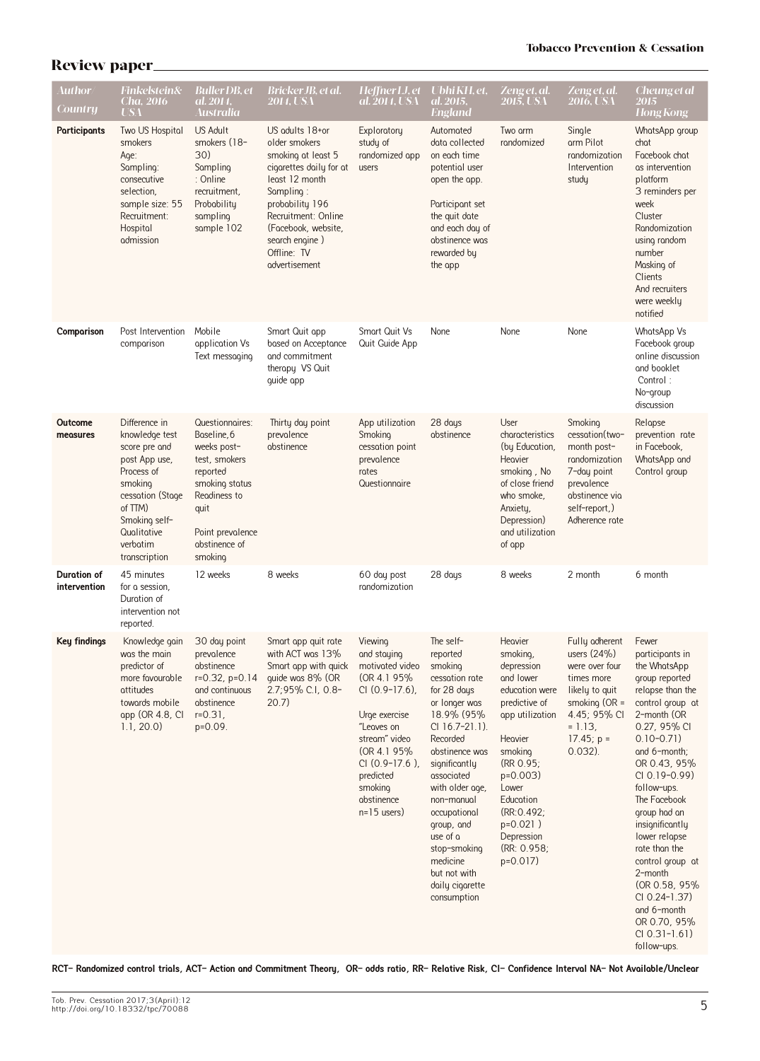| <b>Author</b><br><b>Country</b>    | Finkelstein&<br>Cha. 2016<br>USA                                                                                                                                                       | <b>Buller DB</b> , et<br>al. 2014.<br>Australia                                                                                                                      | Bricker JB, et al.<br><b>2014, USA</b>                                                                                                                                                                                              | Heffner LJ, et Ubhi KH, et,<br>al. 2014, USA                                                                                                                                                                               | al. 2015.<br><b>England</b>                                                                                                                                                                                                                                                                                                                | Zeng et, al.<br>2015, USA                                                                                                                                                                                                                          | Zenget, al.<br>2016, USA                                                                                                                                        | <b>Cheung et al</b><br>2015<br><b>Hong Kong</b>                                                                                                                                                                                                                                                                                                                                                                                              |
|------------------------------------|----------------------------------------------------------------------------------------------------------------------------------------------------------------------------------------|----------------------------------------------------------------------------------------------------------------------------------------------------------------------|-------------------------------------------------------------------------------------------------------------------------------------------------------------------------------------------------------------------------------------|----------------------------------------------------------------------------------------------------------------------------------------------------------------------------------------------------------------------------|--------------------------------------------------------------------------------------------------------------------------------------------------------------------------------------------------------------------------------------------------------------------------------------------------------------------------------------------|----------------------------------------------------------------------------------------------------------------------------------------------------------------------------------------------------------------------------------------------------|-----------------------------------------------------------------------------------------------------------------------------------------------------------------|----------------------------------------------------------------------------------------------------------------------------------------------------------------------------------------------------------------------------------------------------------------------------------------------------------------------------------------------------------------------------------------------------------------------------------------------|
| Participants                       | Two US Hospital<br>smokers<br>Age:<br>Sampling:<br>consecutive<br>selection,<br>sample size: 55<br>Recruitment:<br>Hospital<br>admission                                               | <b>US Adult</b><br>smokers (18-<br>30)<br>Sampling<br>: Online<br>recruitment,<br>Probability<br>sampling<br>sample 102                                              | US adults 18+or<br>older smokers<br>smoking at least 5<br>cigarettes daily for at<br>least 12 month<br>Sampling:<br>probability 196<br>Recruitment: Online<br>(Focebook, website,<br>search engine)<br>Offline: TV<br>advertisement | Exploratory<br>study of<br>randomized app<br>users                                                                                                                                                                         | Automoted<br>data collected<br>on each time<br>potential user<br>open the app.<br>Participant set<br>the quit date<br>and each day of<br>abstinence was<br>reworded by<br>the app                                                                                                                                                          | Two arm<br>rondomized                                                                                                                                                                                                                              | Single<br>arm Pilot<br>randomization<br>Intervention<br>study                                                                                                   | WhatsApp group<br>chat<br>Focebook chot<br>as intervention<br>plotform<br>3 reminders per<br>week<br>Cluster<br>Randomization<br>using random<br>number<br>Mosking of<br>Clients<br>And recruiters<br>were weekly<br>notified                                                                                                                                                                                                                |
| Comparison                         | Post Intervention<br>comparison                                                                                                                                                        | Mobile<br>application Vs<br>Text messaging                                                                                                                           | Smart Quit app<br>based on Acceptance<br>and commitment<br>therapy VS Quit<br>quide app                                                                                                                                             | Smart Quit Vs<br>Quit Guide App                                                                                                                                                                                            | None                                                                                                                                                                                                                                                                                                                                       | None                                                                                                                                                                                                                                               | None                                                                                                                                                            | WhatsApp Vs<br>Focebook group<br>online discussion<br>and booklet<br>Control:<br>No-group<br>discussion                                                                                                                                                                                                                                                                                                                                      |
| Outcome<br>measures                | Difference in<br>knowledge test<br>score pre and<br>post App use,<br>Process of<br>smoking<br>cessation (Stage<br>of TTM)<br>Smoking self-<br>Qualitative<br>verbatim<br>transcription | Questionnaires:<br>Boseline, 6<br>weeks post-<br>test, smokers<br>reported<br>smoking status<br>Readiness to<br>quit<br>Point prevolence<br>abstinence of<br>smoking | Thirty day point<br>prevalence<br>abstinence                                                                                                                                                                                        | App utilization<br>Smoking<br>cessation point<br>prevolence<br>rates<br>Questionnoire                                                                                                                                      | 28 days<br>abstinence                                                                                                                                                                                                                                                                                                                      | User<br>characteristics<br>(by Education,<br>Heavier<br>smoking, No<br>of close friend<br>who smoke,<br>Anxiety,<br>Depression)<br>and utilization<br>of app                                                                                       | Smoking<br>cessation(two-<br>month post-<br>randomization<br>7-day point<br>prevolence<br>abstinence via<br>self-report,)<br>Adherence rote                     | Relapse<br>prevention rote<br>in Focebook,<br>WhatsApp and<br>Control group                                                                                                                                                                                                                                                                                                                                                                  |
| <b>Duration of</b><br>intervention | 45 minutes<br>for a session.<br>Durotion of<br>intervention not<br>reported.                                                                                                           | 12 weeks                                                                                                                                                             | 8 weeks                                                                                                                                                                                                                             | 60 day post<br>randomization                                                                                                                                                                                               | 28 days                                                                                                                                                                                                                                                                                                                                    | 8 weeks                                                                                                                                                                                                                                            | 2 month                                                                                                                                                         | 6 month                                                                                                                                                                                                                                                                                                                                                                                                                                      |
| Key findings                       | Knowledge gain<br>was the main<br>predictor of<br>more fovourable<br>attitudes<br>towards mobile<br>app (OR 4.8, CI<br>1.1, 20.0                                                       | 30 day point<br>prevalence<br>abstinence<br>$r=0.32$ , $p=0.14$<br>and continuous<br>abstinence<br>$r = 0.31$ ,<br>p=0.09.                                           | Smort opp quit rote<br>with ACT was 13%<br>Smort opp with quick<br>guide was 8% (OR<br>2.7;95% C.I, 0.8-<br>$20.7$ )                                                                                                                | Viewing<br>and staying<br>motivated video<br>(OR 4.1 95%)<br>$Cl (0.9-17.6)$ ,<br>Urge exercise<br>"Leaves on<br>stream" video<br>(OR 4.1 95%)<br>$Cl (0.9-17.6)$ ,<br>predicted<br>smoking<br>abstinence<br>$n=15$ users) | The self-<br>reported<br>smoking<br>cessation rate<br>for 28 days<br>or longer was<br>18.9% (95%<br>$Cl$ 16.7-21.1).<br>Recorded<br>abstinence was<br>significantly<br>associated<br>with older age,<br>non-manual<br>occupational<br>group, and<br>use of a<br>stop-smoking<br>medicine<br>but not with<br>daily cigarette<br>consumption | Heavier<br>smoking,<br>depression<br>and lower<br>education were<br>predictive of<br>app utilization<br>Heavier<br>smoking<br>(RR 0.95)<br>$p=0.003$<br>Lower<br>Education<br>(RR: 0.492;<br>$p=0.021$ )<br>Depression<br>(RR: 0.958)<br>$p=0.017$ | Fully adherent<br>users $(24%)$<br>were over four<br>times more<br>likely to quit<br>smoking $(OR =$<br>4.45; 95% CI<br>$= 1.13,$<br>$17.45; p =$<br>$0.032$ ). | Fewer<br>porticiponts in<br>the WhotsApp<br>group reported<br>relapse than the<br>control group at<br>2-month (OR<br>0.27, 95% CI<br>$0.10 - 0.71$<br>and 6-month;<br>OR 0.43, 95%<br>$Cl$ 0.19-0.99)<br>follow-ups.<br>The Facebook<br>group had an<br>insignificantly<br>lower relapse<br>rate than the<br>control group at<br>2-month<br>(OR 0.58, 95%)<br>CI 0.24-1.37)<br>and 6-month<br>OR 0.70, 95%<br>$Cl$ 0.31-1.61)<br>follow-ups. |

**RCT- Randomized control trials, ACT- Action and Commitment Theory, OR- odds ratio, RR- Relative Risk, CI- Confidence Interval NA- Not Available/Unclear**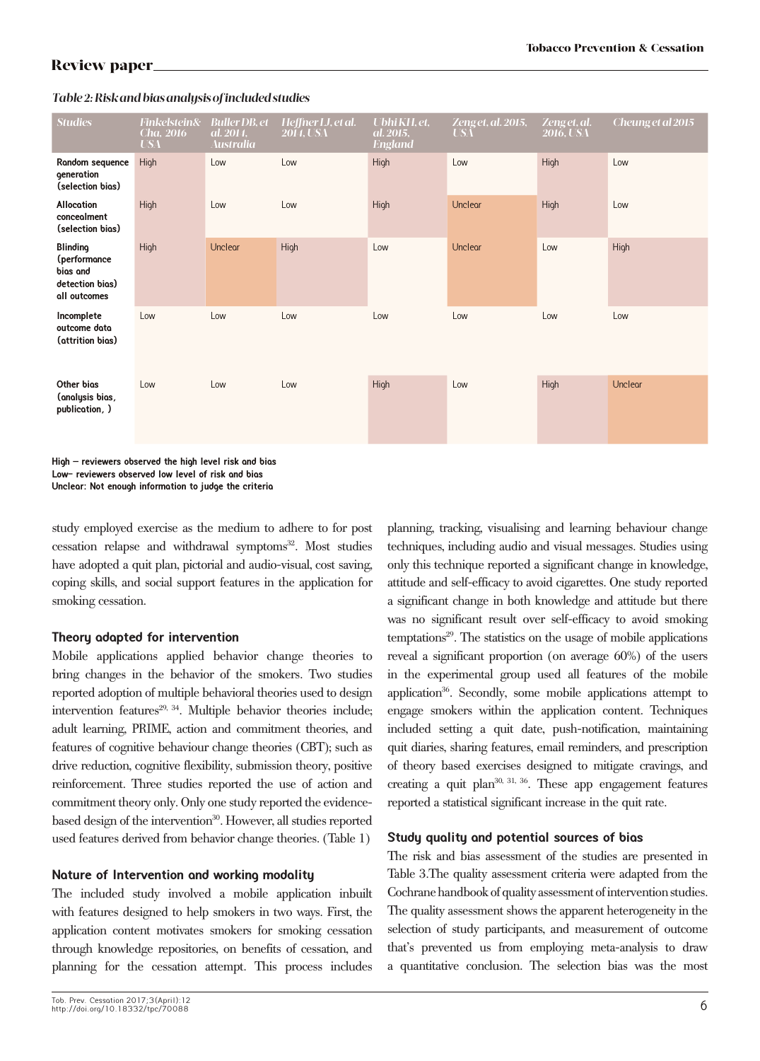| <b>Studies</b>                                                                 | <b>Finkelstein&amp;</b><br><b>Cha</b> , 2016<br><b>USA</b> | <b>Buller DB</b> , et<br>al. 2014,<br><b>Australia</b> | Heffner LJ, et al.<br><b>2014. USA</b> | Ubhi KH, et.<br>al. 2015,<br><b>England</b> | Zeng et, al. 2015,<br><b>USA</b> | Zeng et, al.<br>2016, USA | Cheung et al 2015 |
|--------------------------------------------------------------------------------|------------------------------------------------------------|--------------------------------------------------------|----------------------------------------|---------------------------------------------|----------------------------------|---------------------------|-------------------|
| Random sequence<br>generation<br>(selection bios)                              | High                                                       | Low                                                    | Low                                    | High                                        | Low                              | High                      | Low               |
| <b>Allocation</b><br>concealment<br>(selection bios)                           | High                                                       | Low                                                    | Low                                    | High                                        | Unclear                          | High                      | Low               |
| <b>Blinding</b><br>(performance<br>bias and<br>detection bios)<br>all outcomes | High                                                       | Unclear                                                | High                                   | Low                                         | Unclear                          | Low                       | High              |
| Incomplete<br>outcome data<br>(attrition bias)                                 | Low                                                        | Low                                                    | Low                                    | Low                                         | Low                              | Low                       | Low               |
| Other bios<br>(analysis bias,<br>publication, )                                | Low                                                        | Low                                                    | Low                                    | High                                        | Low                              | High                      | Unclear           |

### *Table 2: Risk and bias analysis of included studies*

**High – reviewers observed the high level risk and bias Low- reviewers observed low level of risk and bias Unclear: Not enough information to judge the criteria** 

study employed exercise as the medium to adhere to for post cessation relapse and withdrawal symptoms<sup>32</sup>. Most studies have adopted a quit plan, pictorial and audio-visual, cost saving, coping skills, and social support features in the application for smoking cessation.

### **Theory adapted for intervention**

Mobile applications applied behavior change theories to bring changes in the behavior of the smokers. Two studies reported adoption of multiple behavioral theories used to design intervention features $29, 34$ . Multiple behavior theories include; adult learning, PRIME, action and commitment theories, and features of cognitive behaviour change theories (CBT); such as drive reduction, cognitive flexibility, submission theory, positive reinforcement. Three studies reported the use of action and commitment theory only. Only one study reported the evidencebased design of the intervention<sup>30</sup>. However, all studies reported used features derived from behavior change theories. (Table 1)

### **Nature of Intervention and working modality**

The included study involved a mobile application inbuilt with features designed to help smokers in two ways. First, the application content motivates smokers for smoking cessation through knowledge repositories, on benefits of cessation, and planning for the cessation attempt. This process includes planning, tracking, visualising and learning behaviour change techniques, including audio and visual messages. Studies using only this technique reported a significant change in knowledge, attitude and self-efficacy to avoid cigarettes. One study reported a significant change in both knowledge and attitude but there was no significant result over self-efficacy to avoid smoking temptations29. The statistics on the usage of mobile applications reveal a significant proportion (on average 60%) of the users in the experimental group used all features of the mobile application<sup>36</sup>. Secondly, some mobile applications attempt to engage smokers within the application content. Techniques included setting a quit date, push-notification, maintaining quit diaries, sharing features, email reminders, and prescription of theory based exercises designed to mitigate cravings, and creating a quit plan $30, 31, 36$ . These app engagement features reported a statistical significant increase in the quit rate.

### **Study quality and potential sources of bias**

The risk and bias assessment of the studies are presented in Table 3.The quality assessment criteria were adapted from the Cochrane handbook of quality assessment of intervention studies. The quality assessment shows the apparent heterogeneity in the selection of study participants, and measurement of outcome that's prevented us from employing meta-analysis to draw a quantitative conclusion. The selection bias was the most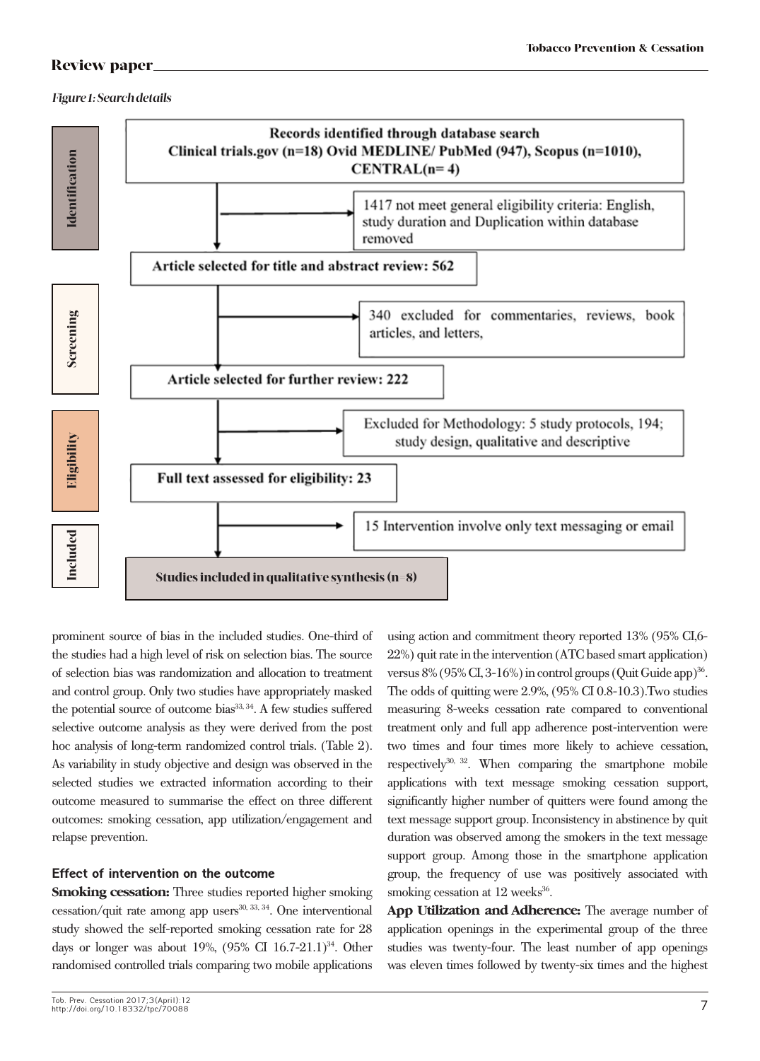### *Figure 1: Search details*



prominent source of bias in the included studies. One-third of the studies had a high level of risk on selection bias. The source of selection bias was randomization and allocation to treatment and control group. Only two studies have appropriately masked the potential source of outcome bias<sup>33, 34</sup>. A few studies suffered selective outcome analysis as they were derived from the post hoc analysis of long-term randomized control trials. (Table 2). As variability in study objective and design was observed in the selected studies we extracted information according to their outcome measured to summarise the effect on three different outcomes: smoking cessation, app utilization/engagement and relapse prevention.

# **Effect of intervention on the outcome**

**Smoking cessation:** Three studies reported higher smoking  $\cos$ sation/quit rate among app users<sup>30, 33, 34</sup>. One interventional study showed the self-reported smoking cessation rate for 28 days or longer was about 19%,  $(95\% \text{ CI } 16.7-21.1)^{34}$ . Other randomised controlled trials comparing two mobile applications

Tob. Prev. Cessation 2017;3(April):12 http://doi.org/10.18332/tpc/70088

using action and commitment theory reported 13% (95% CI,6- 22%) quit rate in the intervention (ATC based smart application) versus  $8\%$  (95% CI, 3-16%) in control groups (Quit Guide app)<sup>36</sup>. The odds of quitting were 2.9%, (95% CI 0.8-10.3).Two studies measuring 8-weeks cessation rate compared to conventional treatment only and full app adherence post-intervention were two times and four times more likely to achieve cessation, respectively $30, 32$ . When comparing the smartphone mobile applications with text message smoking cessation support, significantly higher number of quitters were found among the text message support group. Inconsistency in abstinence by quit duration was observed among the smokers in the text message support group. Among those in the smartphone application group, the frequency of use was positively associated with smoking cessation at  $12$  weeks<sup>36</sup>.

**App Utilization and Adherence:** The average number of application openings in the experimental group of the three studies was twenty-four. The least number of app openings was eleven times followed by twenty-six times and the highest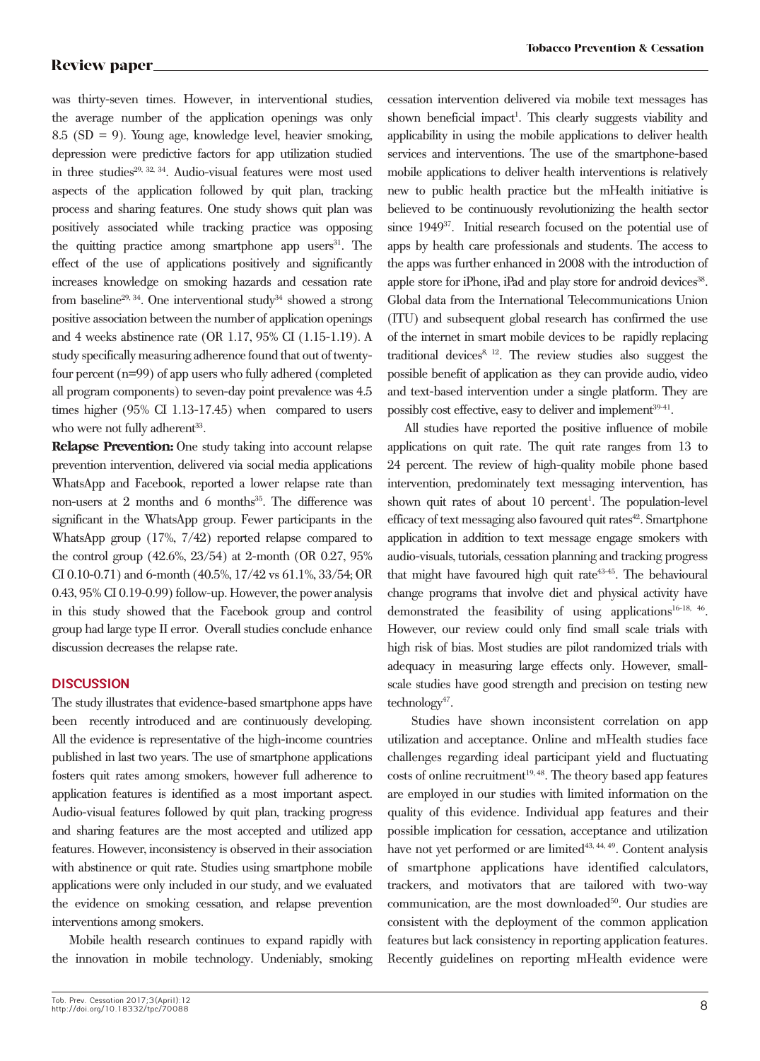was thirty-seven times. However, in interventional studies, the average number of the application openings was only 8.5 (SD = 9). Young age, knowledge level, heavier smoking, depression were predictive factors for app utilization studied in three studies<sup>29, 32, 34</sup>. Audio-visual features were most used aspects of the application followed by quit plan, tracking process and sharing features. One study shows quit plan was positively associated while tracking practice was opposing the quitting practice among smartphone app users $31$ . The effect of the use of applications positively and significantly increases knowledge on smoking hazards and cessation rate from baseline<sup>29, 34</sup>. One interventional study<sup>34</sup> showed a strong positive association between the number of application openings and 4 weeks abstinence rate (OR 1.17, 95% CI (1.15-1.19). A study specifically measuring adherence found that out of twentyfour percent (n=99) of app users who fully adhered (completed all program components) to seven-day point prevalence was 4.5 times higher (95% CI 1.13-17.45) when compared to users who were not fully adherent<sup>33</sup>.

**Relapse Prevention:** One study taking into account relapse prevention intervention, delivered via social media applications WhatsApp and Facebook, reported a lower relapse rate than non-users at  $2$  months and  $6$  months<sup>35</sup>. The difference was significant in the WhatsApp group. Fewer participants in the WhatsApp group (17%, 7/42) reported relapse compared to the control group (42.6%, 23/54) at 2-month (OR 0.27, 95% CI 0.10-0.71) and 6-month (40.5%, 17/42 vs 61.1%, 33/54; OR 0.43, 95% CI 0.19-0.99) follow-up. However, the power analysis in this study showed that the Facebook group and control group had large type II error. Overall studies conclude enhance discussion decreases the relapse rate.

### **DISCUSSION**

The study illustrates that evidence-based smartphone apps have been recently introduced and are continuously developing. All the evidence is representative of the high-income countries published in last two years. The use of smartphone applications fosters quit rates among smokers, however full adherence to application features is identified as a most important aspect. Audio-visual features followed by quit plan, tracking progress and sharing features are the most accepted and utilized app features. However, inconsistency is observed in their association with abstinence or quit rate. Studies using smartphone mobile applications were only included in our study, and we evaluated the evidence on smoking cessation, and relapse prevention interventions among smokers.

Mobile health research continues to expand rapidly with the innovation in mobile technology. Undeniably, smoking cessation intervention delivered via mobile text messages has shown beneficial impact<sup>1</sup>. This clearly suggests viability and applicability in using the mobile applications to deliver health services and interventions. The use of the smartphone-based mobile applications to deliver health interventions is relatively new to public health practice but the mHealth initiative is believed to be continuously revolutionizing the health sector since 1949<sup>37</sup>. Initial research focused on the potential use of apps by health care professionals and students. The access to the apps was further enhanced in 2008 with the introduction of apple store for iPhone, iPad and play store for android devices<sup>38</sup>. Global data from the International Telecommunications Union (ITU) and subsequent global research has confirmed the use of the internet in smart mobile devices to be rapidly replacing traditional devices $8, 12$ . The review studies also suggest the possible benefit of application as they can provide audio, video and text-based intervention under a single platform. They are possibly cost effective, easy to deliver and implement<sup>39-41</sup>.

All studies have reported the positive influence of mobile applications on quit rate. The quit rate ranges from 13 to 24 percent. The review of high-quality mobile phone based intervention, predominately text messaging intervention, has shown quit rates of about 10 percent<sup>1</sup>. The population-level efficacy of text messaging also favoured quit rates $42$ . Smartphone application in addition to text message engage smokers with audio-visuals, tutorials, cessation planning and tracking progress that might have favoured high quit rate<sup>43-45</sup>. The behavioural change programs that involve diet and physical activity have demonstrated the feasibility of using applications<sup>16-18, 46</sup>. However, our review could only find small scale trials with high risk of bias. Most studies are pilot randomized trials with adequacy in measuring large effects only. However, smallscale studies have good strength and precision on testing new  $technology<sup>47</sup>$ .

 Studies have shown inconsistent correlation on app utilization and acceptance. Online and mHealth studies face challenges regarding ideal participant yield and fluctuating costs of online recruitment<sup>19, 48</sup>. The theory based app features are employed in our studies with limited information on the quality of this evidence. Individual app features and their possible implication for cessation, acceptance and utilization have not yet performed or are limited<sup>43, 44, 49</sup>. Content analysis of smartphone applications have identified calculators, trackers, and motivators that are tailored with two-way communication, are the most downloaded<sup>50</sup>. Our studies are consistent with the deployment of the common application features but lack consistency in reporting application features. Recently guidelines on reporting mHealth evidence were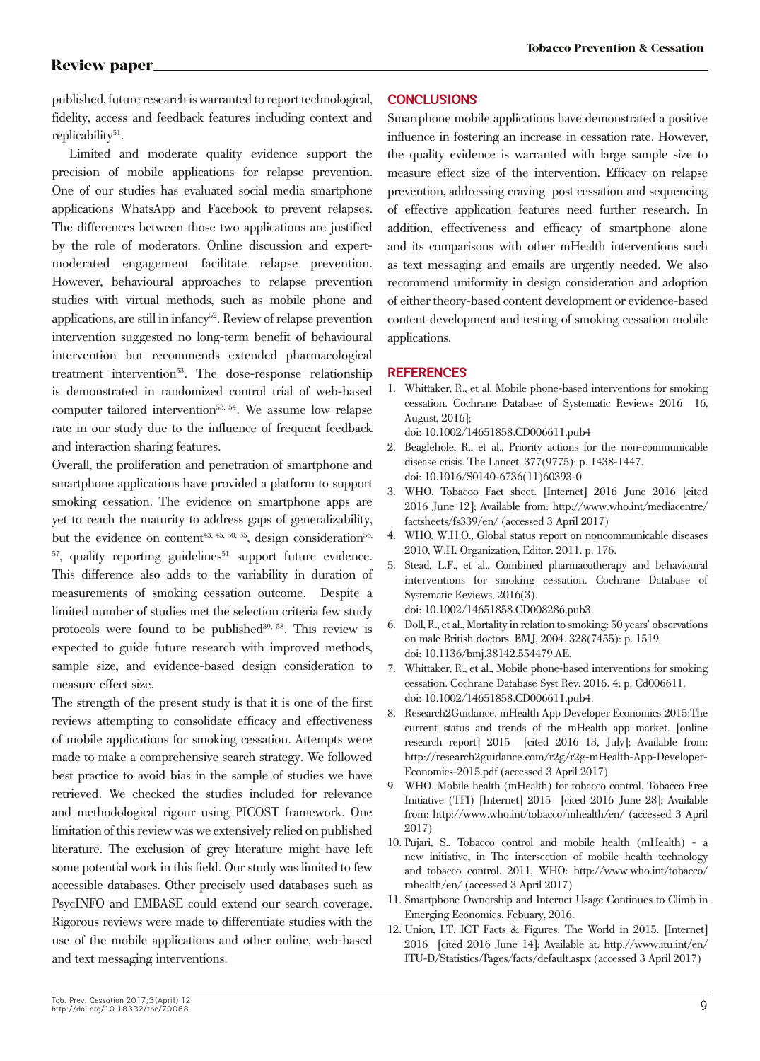published, future research is warranted to report technological, fidelity, access and feedback features including context and replicability<sup>51</sup>.

Limited and moderate quality evidence support the precision of mobile applications for relapse prevention. One of our studies has evaluated social media smartphone applications WhatsApp and Facebook to prevent relapses. The differences between those two applications are justified by the role of moderators. Online discussion and expertmoderated engagement facilitate relapse prevention. However, behavioural approaches to relapse prevention studies with virtual methods, such as mobile phone and applications, are still in infancy<sup>52</sup>. Review of relapse prevention intervention suggested no long-term benefit of behavioural intervention but recommends extended pharmacological treatment intervention<sup>53</sup>. The dose-response relationship is demonstrated in randomized control trial of web-based computer tailored intervention53, 54. We assume low relapse rate in our study due to the influence of frequent feedback and interaction sharing features.

Overall, the proliferation and penetration of smartphone and smartphone applications have provided a platform to support smoking cessation. The evidence on smartphone apps are yet to reach the maturity to address gaps of generalizability, but the evidence on content<sup>43, 45, 50, 55</sup>, design consideration<sup>56,</sup>  $57$ , quality reporting guidelines<sup>51</sup> support future evidence. This difference also adds to the variability in duration of measurements of smoking cessation outcome. Despite a limited number of studies met the selection criteria few study protocols were found to be published<sup>39, 58</sup>. This review is expected to guide future research with improved methods, sample size, and evidence-based design consideration to measure effect size.

The strength of the present study is that it is one of the first reviews attempting to consolidate efficacy and effectiveness of mobile applications for smoking cessation. Attempts were made to make a comprehensive search strategy. We followed best practice to avoid bias in the sample of studies we have retrieved. We checked the studies included for relevance and methodological rigour using PICOST framework. One limitation of this review was we extensively relied on published literature. The exclusion of grey literature might have left some potential work in this field. Our study was limited to few accessible databases. Other precisely used databases such as PsycINFO and EMBASE could extend our search coverage. Rigorous reviews were made to differentiate studies with the use of the mobile applications and other online, web-based and text messaging interventions.

### **CONCLUSIONS**

Smartphone mobile applications have demonstrated a positive influence in fostering an increase in cessation rate. However, the quality evidence is warranted with large sample size to measure effect size of the intervention. Efficacy on relapse prevention, addressing craving post cessation and sequencing of effective application features need further research. In addition, effectiveness and efficacy of smartphone alone and its comparisons with other mHealth interventions such as text messaging and emails are urgently needed. We also recommend uniformity in design consideration and adoption of either theory-based content development or evidence-based content development and testing of smoking cessation mobile applications.

### **REFERENCES**

1. Whittaker, R., et al. Mobile phone-based interventions for smoking cessation. Cochrane Database of Systematic Reviews 2016 16, August, 2016];

doi: 10.1002/14651858.CD006611.pub4

- 2. Beaglehole, R., et al., Priority actions for the non-communicable disease crisis. The Lancet. 377(9775): p. 1438-1447. doi: 10.1016/S0140-6736(11)60393-0
- 3. WHO. Tobacoo Fact sheet. [Internet] 2016 June 2016 [cited 2016 June 12]; Available from: http://www.who.int/mediacentre/ factsheets/fs339/en/ (accessed 3 April 2017)
- 4. WHO, W.H.O., Global status report on noncommunicable diseases 2010, W.H. Organization, Editor. 2011. p. 176.
- 5. Stead, L.F., et al., Combined pharmacotherapy and behavioural interventions for smoking cessation. Cochrane Database of Systematic Reviews, 2016(3). doi: 10.1002/14651858.CD008286.pub3.
- 6. Doll, R., et al., Mortality in relation to smoking: 50 years' observations on male British doctors. BMJ, 2004. 328(7455): p. 1519. doi: 10.1136/bmj.38142.554479.AE.
- 7. Whittaker, R., et al., Mobile phone-based interventions for smoking cessation. Cochrane Database Syst Rev, 2016. 4: p. Cd006611. doi: 10.1002/14651858.CD006611.pub4.
- 8. Research2Guidance. mHealth App Developer Economics 2015:The current status and trends of the mHealth app market. [online research report] 2015 [cited 2016 13, July]; Available from: http://research2guidance.com/r2g/r2g-mHealth-App-Developer-Economics-2015.pdf (accessed 3 April 2017)
- WHO. Mobile health (mHealth) for tobacco control. Tobacco Free Initiative (TFI) [Internet] 2015 [cited 2016 June 28]; Available from: http://www.who.int/tobacco/mhealth/en/ (accessed 3 April 2017)
- 10. Pujari, S., Tobacco control and mobile health (mHealth) a new initiative, in The intersection of mobile health technology and tobacco control. 2011, WHO: http://www.who.int/tobacco/ mhealth/en/ (accessed 3 April 2017)
- 11. Smartphone Ownership and Internet Usage Continues to Climb in Emerging Economies. Febuary, 2016.
- 12. Union, I.T. ICT Facts & Figures: The World in 2015. [Internet] 2016 [cited 2016 June 14]; Available at: http://www.itu.int/en/ ITU-D/Statistics/Pages/facts/default.aspx (accessed 3 April 2017)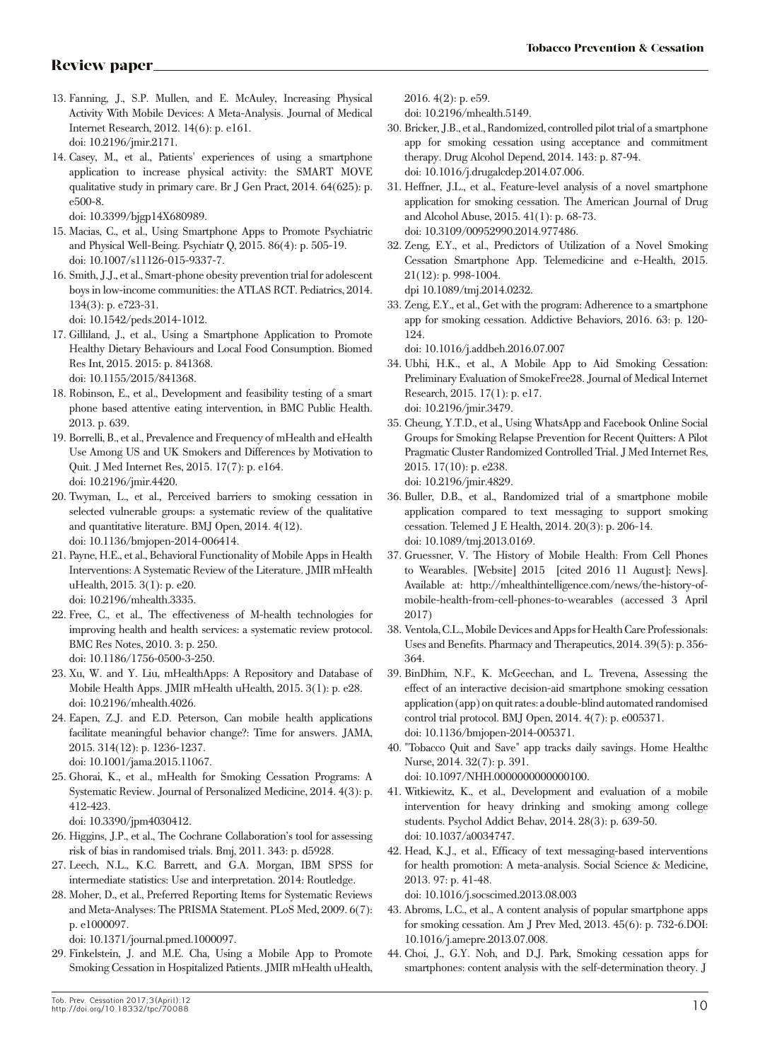- 13. Fanning, J., S.P. Mullen, and E. McAuley, Increasing Physical Activity With Mobile Devices: A Meta-Analysis. Journal of Medical Internet Research, 2012. 14(6): p. e161. doi: 10.2196/jmir.2171.
- 14. Casey, M., et al., Patients' experiences of using a smartphone application to increase physical activity: the SMART MOVE qualitative study in primary care. Br J Gen Pract, 2014. 64(625): p. e500-8.
	- doi: 10.3399/bjgp14X680989.
- 15. Macias, C., et al., Using Smartphone Apps to Promote Psychiatric and Physical Well-Being. Psychiatr Q, 2015. 86(4): p. 505-19. doi: 10.1007/s11126-015-9337-7.
- 16. Smith, J.J., et al., Smart-phone obesity prevention trial for adolescent boys in low-income communities: the ATLAS RCT. Pediatrics, 2014. 134(3): p. e723-31.

doi: 10.1542/peds.2014-1012.

- 17. Gilliland, J., et al., Using a Smartphone Application to Promote Healthy Dietary Behaviours and Local Food Consumption. Biomed Res Int, 2015. 2015: p. 841368. doi: 10.1155/2015/841368.
- 18. Robinson, E., et al., Development and feasibility testing of a smart phone based attentive eating intervention, in BMC Public Health. 2013. p. 639.
- 19. Borrelli, B., et al., Prevalence and Frequency of mHealth and eHealth Use Among US and UK Smokers and Differences by Motivation to Quit. J Med Internet Res, 2015. 17(7): p. e164. doi: 10.2196/jmir.4420.
- 20. Twyman, L., et al., Perceived barriers to smoking cessation in selected vulnerable groups: a systematic review of the qualitative and quantitative literature. BMJ Open, 2014. 4(12). doi: 10.1136/bmjopen-2014-006414.
- 21. Payne, H.E., et al., Behavioral Functionality of Mobile Apps in Health Interventions: A Systematic Review of the Literature. JMIR mHealth uHealth, 2015. 3(1): p. e20. doi: 10.2196/mhealth.3335.
- 22. Free, C., et al., The effectiveness of M-health technologies for improving health and health services: a systematic review protocol. BMC Res Notes, 2010. 3: p. 250. doi: 10.1186/1756-0500-3-250.
- 23. Xu, W. and Y. Liu, mHealthApps: A Repository and Database of Mobile Health Apps. JMIR mHealth uHealth, 2015. 3(1): p. e28. doi: 10.2196/mhealth.4026.
- 24. Eapen, Z.J. and E.D. Peterson, Can mobile health applications facilitate meaningful behavior change?: Time for answers. JAMA, 2015. 314(12): p. 1236-1237. doi: 10.1001/jama.2015.11067.
- 25. Ghorai, K., et al., mHealth for Smoking Cessation Programs: A Systematic Review. Journal of Personalized Medicine, 2014. 4(3): p. 412-423.

doi: 10.3390/jpm4030412.

- 26. Higgins, J.P., et al., The Cochrane Collaboration's tool for assessing risk of bias in randomised trials. Bmj, 2011. 343: p. d5928.
- 27. Leech, N.L., K.C. Barrett, and G.A. Morgan, IBM SPSS for intermediate statistics: Use and interpretation. 2014: Routledge.
- 28. Moher, D., et al., Preferred Reporting Items for Systematic Reviews and Meta-Analyses: The PRISMA Statement. PLoS Med, 2009. 6(7): p. e1000097.

doi: 10.1371/journal.pmed.1000097.

29. Finkelstein, J. and M.E. Cha, Using a Mobile App to Promote Smoking Cessation in Hospitalized Patients. JMIR mHealth uHealth, 2016. 4(2): p. e59.

doi: 10.2196/mhealth.5149.

- 30. Bricker, J.B., et al., Randomized, controlled pilot trial of a smartphone app for smoking cessation using acceptance and commitment therapy. Drug Alcohol Depend, 2014. 143: p. 87-94. doi: 10.1016/j.drugalcdep.2014.07.006.
- 31. Heffner, J.L., et al., Feature-level analysis of a novel smartphone application for smoking cessation. The American Journal of Drug and Alcohol Abuse, 2015. 41(1): p. 68-73. doi: 10.3109/00952990.2014.977486.
- 32. Zeng, E.Y., et al., Predictors of Utilization of a Novel Smoking Cessation Smartphone App. Telemedicine and e-Health, 2015. 21(12): p. 998-1004.

dpi 10.1089/tmj.2014.0232.

33. Zeng, E.Y., et al., Get with the program: Adherence to a smartphone app for smoking cessation. Addictive Behaviors, 2016. 63: p. 120- 124.

doi: 10.1016/j.addbeh.2016.07.007

- 34. Ubhi, H.K., et al., A Mobile App to Aid Smoking Cessation: Preliminary Evaluation of SmokeFree28. Journal of Medical Internet Research, 2015. 17(1): p. e17. doi: 10.2196/jmir.3479.
- 35. Cheung, Y.T.D., et al., Using WhatsApp and Facebook Online Social Groups for Smoking Relapse Prevention for Recent Quitters: A Pilot Pragmatic Cluster Randomized Controlled Trial. J Med Internet Res, 2015. 17(10): p. e238. doi: 10.2196/jmir.4829.
- 36. Buller, D.B., et al., Randomized trial of a smartphone mobile application compared to text messaging to support smoking cessation. Telemed J E Health, 2014. 20(3): p. 206-14. doi: 10.1089/tmj.2013.0169.
- 37. Gruessner, V. The History of Mobile Health: From Cell Phones to Wearables. [Website] 2015 [cited 2016 11 August]; News]. Available at: http://mhealthintelligence.com/news/the-history-ofmobile-health-from-cell-phones-to-wearables (accessed 3 April 2017)
- 38. Ventola, C.L., Mobile Devices and Apps for Health Care Professionals: Uses and Benefits. Pharmacy and Therapeutics, 2014. 39(5): p. 356- 364.
- 39. BinDhim, N.F., K. McGeechan, and L. Trevena, Assessing the effect of an interactive decision-aid smartphone smoking cessation application (app) on quit rates: a double-blind automated randomised control trial protocol. BMJ Open, 2014. 4(7): p. e005371. doi: 10.1136/bmjopen-2014-005371.
- 40. "Tobacco Quit and Save" app tracks daily savings. Home Healthc Nurse, 2014. 32(7): p. 391. doi: 10.1097/NHH.0000000000000100.
- 41. Witkiewitz, K., et al., Development and evaluation of a mobile intervention for heavy drinking and smoking among college students. Psychol Addict Behav, 2014. 28(3): p. 639-50. doi: 10.1037/a0034747.
- 42. Head, K.J., et al., Efficacy of text messaging-based interventions for health promotion: A meta-analysis. Social Science & Medicine, 2013. 97: p. 41-48. doi: 10.1016/j.socscimed.2013.08.003
- 43. Abroms, L.C., et al., A content analysis of popular smartphone apps for smoking cessation. Am J Prev Med, 2013. 45(6): p. 732-6.DOI: 10.1016/j.amepre.2013.07.008.
- 44. Choi, J., G.Y. Noh, and D.J. Park, Smoking cessation apps for smartphones: content analysis with the self-determination theory. J